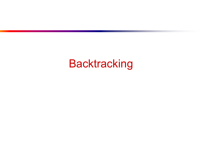## **Backtracking**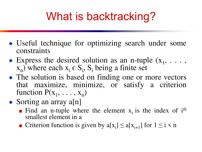# What is backtracking?

- Useful technique for optimizing search under some constraints
- Express the desired solution as an n-tuple  $(x_1, \ldots, x_n)$  $x_n$ ) where each  $x_i \in S_i$ ,  $S_i$  being a finite set
- The solution is based on finding one or more vectors that maximize, minimize, or satisfy a criterion function  $P(x_1, \ldots, x_n)$
- Sorting an array  $a[n]$ 
	- **Find an n-tuple where the element**  $x_i$  **is the index of**  $i<sup>th</sup>$ smallest element in a
	- Criterion function is given by  $a[x_i] \le a[x_{i+1}]$  for  $1 \le i \le n$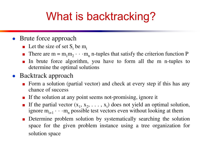# What is backtracking?

#### • Brute force approach

- **•** Let the size of set  $S_i$  be  $m_i$
- **There are m** =  $m_1m_2 \cdot \cdot \cdot m_n$  n-tuples that satisfy the criterion function P
- In brute force algorithm, you have to form all the m n-tuples to determine the optimal solutions

#### • Backtrack approach

- Form a solution (partial vector) and check at every step if this has any chance of success
- If the solution at any point seems not-promising, ignore it
- **If the partial vector**  $(x_1, x_2, \ldots, x_i)$  does not yield an optimal solution, ignore  $m_{i+1} \cdots m_n$  possible test vectors even without looking at them
- Determine problem solution by systematically searching the solution space for the given problem instance using a tree organization for solution space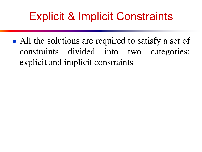# Explicit & Implicit Constraints

• All the solutions are required to satisfy a set of constraints divided into two categories: explicit and implicit constraints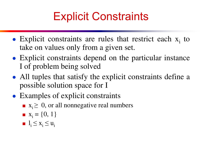# Explicit Constraints

- $\bullet$  Explicit constraints are rules that restrict each  $x_i$  to take on values only from a given set.
- Explicit constraints depend on the particular instance I of problem being solved
- All tuples that satisfy the explicit constraints define a possible solution space for I
- Examples of explicit constraints
	- $\mathbf{x}_i \geq 0$ , or all nonnegative real numbers
	- $\mathbf{x}_i = \{0, 1\}$
	- $l_i \leq x_i \leq u_i$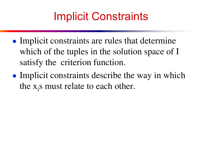# Implicit Constraints

- Implicit constraints are rules that determine which of the tuples in the solution space of I satisfy the criterion function.
- Implicit constraints describe the way in which the  $x_i$ s must relate to each other.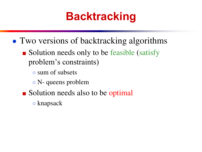# **Backtracking**

- Two versions of backtracking algorithms
	- Solution needs only to be feasible (satisfy problem's constraints)
		- sum of subsets
		- N- queens problem
	- Solution needs also to be optimal
		- knapsack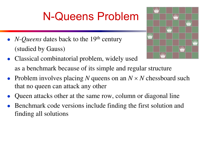# N-Queens Problem

- *N-Queens* dates back to the 19<sup>th</sup> century (studied by Gauss)
- Classical combinatorial problem, widely used as a benchmark because of its simple and regular structure
- Problem involves placing *N* queens on an  $N \times N$  chessboard such that no queen can attack any other
- Queen attacks other at the same row, column or diagonal line
- Benchmark code versions include finding the first solution and finding all solutions

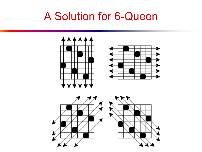### A Solution for 6-Queen

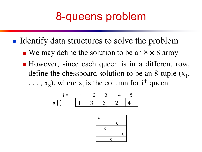## 8-queens problem

- Identify data structures to solve the problem
	- $\blacksquare$  We may define the solution to be an  $8 \times 8$  array
	- However, since each queen is in a different row, define the chessboard solution to be an 8-tuple  $(x_1,$  $\ldots$ ,  $x_8$ ), where  $x_i$  is the column for i<sup>th</sup> queen

$$
i = \begin{array}{c|ccccc} & 1 & 2 & 3 & 4 & 5 \\ \hline 1 & 3 & 5 & 2 & 4 \\ \end{array}
$$

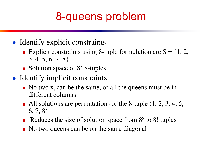# 8-queens problem

- Identify explicit constraints
	- Explicit constraints using 8-tuple formulation are  $S = \{1, 2, \ldots\}$ 3, 4, 5, 6, 7, 8}
	- Solution space of 8<sup>8</sup> 8-tuples
- Identify implicit constraints
	- $\blacksquare$  No two  $x_i$  can be the same, or all the queens must be in different columns
	- All solutions are permutations of the 8-tuple  $(1, 2, 3, 4, 5,$ 6, 7, 8)
	- Reduces the size of solution space from  $8<sup>8</sup>$  to  $8!$  tuples
	- No two queens can be on the same diagonal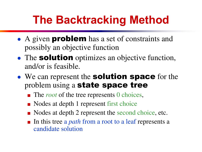# **The Backtracking Method**

- A given **problem** has a set of constraints and possibly an objective function
- The **solution** optimizes an objective function, and/or is feasible.
- We can represent the **solution space** for the problem using a state space tree
	- The *root* of the tree represents 0 choices,
	- Nodes at depth 1 represent first choice
	- Nodes at depth 2 represent the second choice, etc.
	- In this tree a *path* from a root to a leaf represents a candidate solution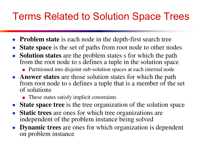## Terms Related to Solution Space Trees

- **Problem state** is each node in the depth-first search tree
- **State space** is the set of paths from root node to other nodes
- **Solution states** are the problem states s for which the path from the root node to s defines a tuple in the solution space
	- Partitioned into disjoint sub-solution spaces at each internal node
- **Answer states** are those solution states for which the path from root node to s defines a tuple that is a member of the set of solutions
	- These states satisfy implicit constraints
- **State space tree** is the tree organization of the solution space
- **Static trees** are ones for which tree organizations are independent of the problem instance being solved
- **Dynamic trees** are ones for which organization is dependent on problem instance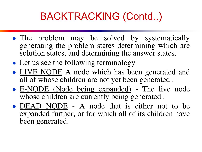- The problem may be solved by systematically generating the problem states determining which are solution states, and determining the answer states.
- Let us see the following terminology
- LIVE NODE A node which has been generated and all of whose children are not yet been generated .
- E-NODE (Node being expanded) The live node whose children are currently being generated .
- DEAD NODE A node that is either not to be expanded further, or for which all of its children have been generated.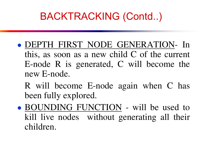- DEPTH FIRST NODE GENERATION- In this, as soon as a new child C of the current E-node R is generated, C will become the new E-node.
	- R will become E-node again when C has been fully explored.
- BOUNDING FUNCTION will be used to kill live nodes without generating all their children.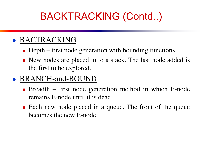#### ● BACTRACKING

- $\blacksquare$  Depth first node generation with bounding functions.
- New nodes are placed in to a stack. The last node added is the first to be explored.

#### • BRANCH-and-BOUND

- **Breadth** first node generation method in which E-node remains E-node until it is dead.
- Each new node placed in a queue. The front of the queue becomes the new E-node.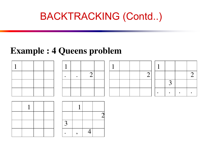### **Example : 4 Queens problem**



|  | 2 |  |
|--|---|--|
|  |   |  |
|  |   |  |

|  | $\angle$ |
|--|----------|
|  |          |
|  |          |

|   | 2 |
|---|---|
| 3 |   |
|   |   |

| $\mathbf{R}$ |          |  |
|--------------|----------|--|
|              | <u>т</u> |  |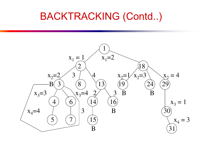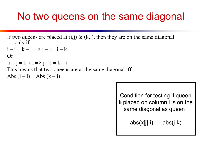### No two queens on the same diagonal

```
If two queens are placed at (i,j) \& (k,l), then they are on the same diagonal
   only if
```

$$
i - j = k - 1 \implies j - l = i - k
$$

Or

$$
i + j = k + l \Rightarrow j - l = k - i
$$

This means that two queens are at the same diagonal iff

Abs  $(j - l) = Abs (k - i)$ 

Condition for testing if queen k placed on column i is on the same diagonal as queen j

 $abs(x[j]-i) == abs(j-k)$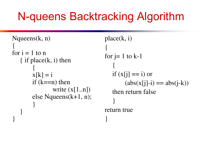# N-queens Backtracking Algorithm

```
Nqueens(k, n) 
{ 
for i = 1 to n
   \{ if place(k, i) then
\{x[k] = iif (k == n) then
               write (x[1..n]) else Nqueens(k+1, n); 
 } 
 } 
}
```

```
place(k, i) 
{ 
for j=1 to k-1 { 
   if (x[i] == i) or
         (\text{abs}(x[i]-i) == \text{abs}(i-k)) then return false 
 } 
return true 
}
```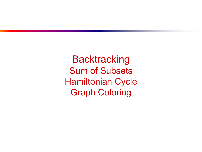**Backtracking** Sum of Subsets Hamiltonian Cycle Graph Coloring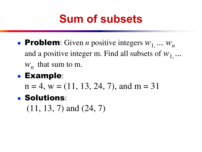# **Sum of subsets**

• Problem: Given *n* positive integers  $W_1$ ...  $W_n$ and a positive integer m. Find all subsets of  $W_1$ ...  $W_n$  that sum to m.

### ● Example:

 $n = 4$ ,  $w = (11, 13, 24, 7)$ , and  $m = 31$ 

### ● Solutions:

 $(11, 13, 7)$  and  $(24, 7)$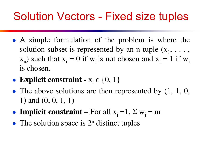# Solution Vectors - Fixed size tuples

- A simple formulation of the problem is where the solution subset is represented by an n-tuple  $(x_1, \ldots,$  $(x_n)$  such that  $x_i = 0$  if  $w_i$  is not chosen and  $x_i = 1$  if  $w_i$ is chosen.
- **Explicit constraint**  $x_i \in \{0, 1\}$
- The above solutions are then represented by  $(1, 1, 0, 1)$ 1) and (0, 0, 1, 1)
- **Implicit constraint** For all  $x_j = 1$ ,  $\Sigma w_j = m$
- The solution space is  $2^n$  distinct tuples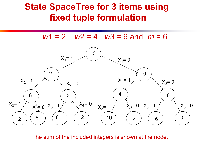### **State SpaceTree for 3 items using fixed tuple formulation**

*w*1 = 2, *w*2 = 4, *w*3 = 6 and *m* = 6



The sum of the included integers is shown at the node.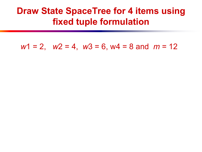### **Draw State SpaceTree for 4 items using fixed tuple formulation**

*w*1 = 2, *w*2 = 4, *w*3 = 6, w4 = 8 and *m* = 12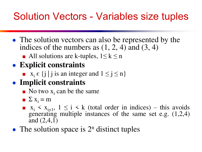## Solution Vectors - Variables size tuples

- The solution vectors can also be represented by the indices of the numbers as  $(1, 2, 4)$  and  $(3, 4)$ 
	- All solutions are k-tuples,  $1 \le k \le n$

### ● **Explicit constraints**

**u**  $x_i \in \{j \mid j \text{ is an integer and } 1 \leq j \leq n\}$ 

#### ● **Implicit constraints**

- $\blacksquare$  No two  $x_i$  can be the same
- $\sum x_i = m$
- $\mathbf{x}_i \leq \mathbf{x}_{i+1}, \ 1 \leq i \leq k$  (total order in indices) this avoids generating multiple instances of the same set e.g. (1,2,4) and  $(2,4,1)$
- The solution space is  $2^n$  distinct tuples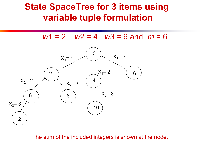### **State SpaceTree for 3 items using variable tuple formulation**

*w*1 = 2, *w*2 = 4, *w*3 = 6 and *m* = 6



The sum of the included integers is shown at the node.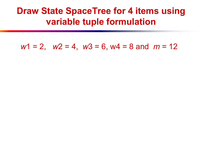### **Draw State SpaceTree for 4 items using variable tuple formulation**

*w*1 = 2, *w*2 = 4, *w*3 = 6, w4 = 8 and *m* = 12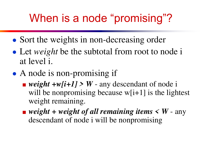# When is a node "promising"?

- Sort the weights in non-decreasing order
- Let *weight* be the subtotal from root to node i at level i.
- A node is non-promising if
	- $\blacksquare$  *weight* +w[i+1] > W any descendant of node i will be nonpromising because  $w[i+1]$  is the lightest weight remaining.
	- $\blacksquare$  *weight* + *weight* of all remaining items  $\lt W$  any descendant of node i will be nonpromising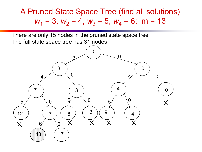A Pruned State Space Tree (find all solutions)  $w_1 = 3$ ,  $w_2 = 4$ ,  $w_3 = 5$ ,  $w_4 = 6$ ; m = 13

There are only 15 nodes in the pruned state space tree The full state space tree has 31 nodes

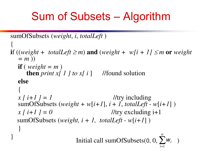# Sum of Subsets – Algorithm

```
sumOfSubsets (weight, i, totalLeft ) 
{ 
if ((weight + totalLeft \geqm) and (weight + w[i + 1] \leqm or weight
  = m ))
  if (weight = m)
     then print x[ 1 ] to x[ i ] //found solution
  else 
 { 
  x[i+1] = 1 //try including
  sumOfSubsets (weight + w[i+1], i + 1, totalLeft - w[i+1])
  x[i+1] = 0 //try excluding i+1
  sumOfSubsets (weight, i + 1, totalLeft - w[i+1])
 } 
} Initial call sumOfSubsets(0, 0, \sum_{i=1}^{n} w_i )
                                                  n
                                                    wi
```
1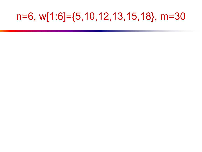### n=6, w[1:6]={5,10,12,13,15,18}, m=30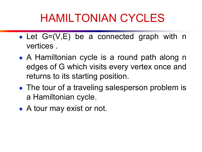# HAMILTONIAN CYCLES

- Let  $G=(V,E)$  be a connected graph with n vertices .
- A Hamiltonian cycle is a round path along n edges of G which visits every vertex once and returns to its starting position.
- The tour of a traveling salesperson problem is a Hamiltonian cycle.
- A tour may exist or not.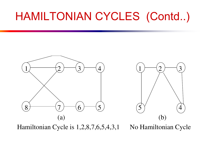# HAMILTONIAN CYCLES (Contd..)



Hamiltonian Cycle is 1,2,8,7,6,5,4,3,1 No Hamiltonian Cycle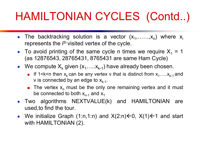# HAMILTONIAN CYCLES (Contd..)

- The backtracking solution is a vector  $(x_1, \ldots, x_n)$  where  $x_i$ represents the i<sup>th</sup> visited vertex of the cycle.
- To avoid printing of the same cycle n times we require  $X_1 = 1$ (as 12876543, 28765431, 8765431 are same Ham Cycle)
- We compute  $X_k$  given  $(x_1, \ldots, x_{k-1})$  have already been chosen.
	- **If 1** <k <n then  $x_k$  can be any vertex v that is distinct from  $x_1, \ldots, x_{k-1}$  and v is connected by an edge to  $x_{k-1}$ .
	- **The vertex**  $x_n$  **must be the only one remaining vertex and it must** be connected to both  $x_{n-1}$  and  $x_1$
- Two algorithms NEXTVALUE(k) and HAMILTONIAN are used,to find the tour.
- We initialize Graph (1:n,1:n) and  $X(2:n) \leftarrow 0$ ,  $X(1) \leftarrow 1$  and start with HAMILTONIAN (2).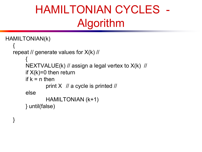# HAMILTONIAN CYCLES - Algorithm

```
HAMILTONIAN(k) 
\{ repeat // generate values for X(k) // 
\{ NEXTVALUE(k) // assign a legal vertex to X(k) // 
        if X(k)=0 then return
        if k = n then
                print X // a cycle is printed //
         else 
                 HAMILTONIAN (k+1) 
         } until(false)
```
}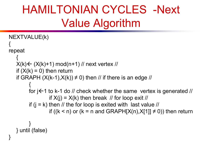## HAMILTONIAN CYCLES -Next Value Algorithm

```
NEXTVALUE(k) 
{<br>}
repeat 
\{X(k) \leftarrow (X(k)+1) \mod (n+1) // next vertex //
   if (X(k) = 0) then return
   if GRAPH (X(k-1),X(k)) \neq 0 then // if there is an edge //
\{for j \leftarrow 1 to k-1 do // check whether the same vertex is generated //
                  if X(i) = X(k) then break // for loop exit //
         if (j = k) then // the for loop is exited with last value //
                  if ((k < n) or (k = n and GRAPH[X(n), X[1]] \neq 0)) then return
 } 
    } until (false) 
}
```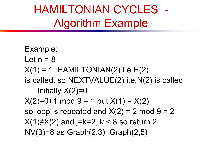HAMILTONIAN CYCLES - Algorithm Example

 Example: Let  $n = 8$  $X(1) = 1$ , HAMILTONIAN(2) i.e.H(2) is called, so NEXTVALUE(2) i.e.N(2) is called. Initially  $X(2)=0$  $X(2)=0+1$  mod  $9=1$  but  $X(1) = X(2)$ so loop is repeated and  $X(2) = 2 \text{ mod } 9 = 2$  $X(1) \neq X(2)$  and j=k=2, k < 8 so return 2 NV(3)=8 as Graph(2,3), Graph(2,5)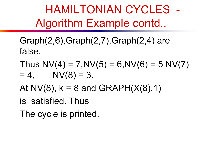HAMILTONIAN CYCLES - Algorithm Example contd..

- Graph(2,6),Graph(2,7),Graph(2,4) are false.
- Thus  $NV(4) = 7, NV(5) = 6, NV(6) = 5, NV(7)$  $= 4$ , NV(8) = 3.
- At NV(8),  $k = 8$  and GRAPH( $X(8)$ , 1)
- is satisfied. Thus
- The cycle is printed.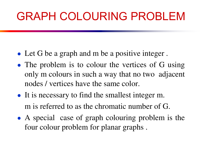## GRAPH COLOURING PROBLEM

- Let G be a graph and m be a positive integer.
- The problem is to colour the vertices of G using only m colours in such a way that no two adjacent nodes / vertices have the same color.
- It is necessary to find the smallest integer m. m is referred to as the chromatic number of G.
- A special case of graph colouring problem is the four colour problem for planar graphs .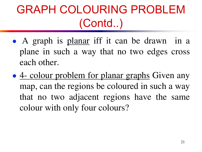# GRAPH COLOURING PROBLEM (Contd..)

- A graph is planar iff it can be drawn in a plane in such a way that no two edges cross each other.
- 4- colour problem for planar graphs Given any map, can the regions be coloured in such a way that no two adjacent regions have the same colour with only four colours?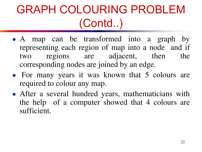# GRAPH COLOURING PROBLEM (Contd..)

- A map can be transformed into a graph by representing each region of map into a node and if two regions are adjacent, then the corresponding nodes are joined by an edge.
- For many years it was known that 5 colours are required to colour any map.
- After a several hundred years, mathematicians with the help of a computer showed that 4 colours are sufficient.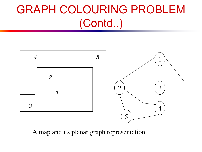# GRAPH COLOURING PROBLEM (Contd..)



A map and its planar graph representation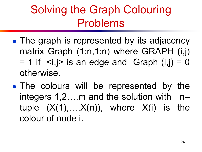## Solving the Graph Colouring Problems

- The graph is represented by its adjacency matrix Graph (1:n,1:n) where GRAPH (i,j)  $= 1$  if  $\le i, j$  is an edge and Graph  $(i, j) = 0$ otherwise.
- The colours will be represented by the integers 1,2….m and the solution with n– tuple  $(X(1),...,X(n))$ , where  $X(i)$  is the colour of node i.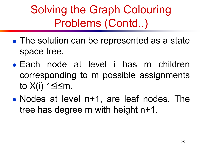Solving the Graph Colouring Problems (Contd..)

- The solution can be represented as a state space tree.
- Each node at level i has m children corresponding to m possible assignments to X(i) 1≤i≤m.
- Nodes at level n+1, are leaf nodes. The tree has degree m with height n+1.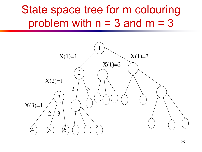## State space tree for m colouring problem with  $n = 3$  and  $m = 3$

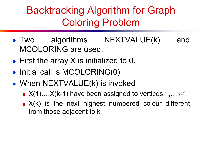#### Backtracking Algorithm for Graph Coloring Problem

- Two algorithms NEXTVALUE(k) and MCOLORING are used.
- First the array X is initialized to 0.
- Initial call is MCOLORING(0)
- When NEXTVALUE(k) is invoked
	- $\blacksquare$  X(1)....X(k-1) have been assigned to vertices 1,...k-1
	- $\blacksquare$   $X(k)$  is the next highest numbered colour different from those adjacent to k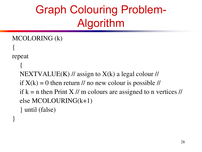## Graph Colouring Problem-Algorithm

```
MCOLORING (k) 
{ 
repeat 
 {
```
}

 NEXTVALUE(K) // assign to X(k) a legal colour // if  $X(k) = 0$  then return // no new colour is possible // if  $k = n$  then Print X // m colours are assigned to n vertices // else MCOLOURING(k+1) } until (false)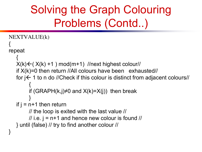## Solving the Graph Colouring Problems (Contd..)

```
NEXTVALUE(k) 
{<br>}
repeat 
\{X(k) \leftarrow (X(k) +1) \mod(m+1) //next highest colour//
    if X(k)=0 then return //All colours have been exhausted// 
   for j \leftarrow 1 to n do //Check if this colour is distinct from adjacent colours//
\{if (GRAPH(k,j)≠0 and X(k)=X(j)) then break
 }
   if j = n+1 then return
          // the loop is exited with the last value // 
        \frac{1}{1} i.e. j = n+1 and hence new colour is found \frac{1}{1} } until (false) // try to find another colour // 
}
```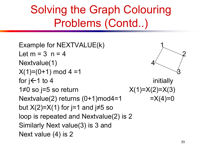## Solving the Graph Colouring Problems (Contd..)

```
Example for NEXTVALUE(k) 1 
Let m = 3 n = 4Nextvalue(1)
X(1)=(0+1) \text{ mod } 4=1for j \leftarrow 1 to 4 initially
1≠0 so j=5 so return X(1)=X(2)=X(3)Nextvalue(2) returns (0+1)mod4=1 =X(4)=0
but X(2)=X(1) for j=1 and j\neq5 so
loop is repeated and Nextvalue(2) is 2 
Similarly Next value(3) is 3 and 
Next value (4) is 2
```
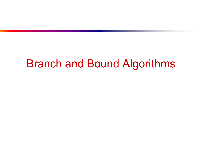#### Branch and Bound Algorithms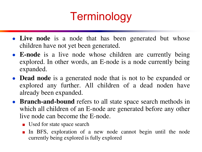## **Terminology**

- Live node is a node that has been generated but whose children have not yet been generated.
- **E-node** is a live node whose children are currently being explored. In other words, an E-node is a node currently being expanded.
- **Dead node** is a generated node that is not to be expanded or explored any further. All children of a dead noden have already been expanded.
- **Branch-and-bound** refers to all state space search methods in which all children of an E-node are generated before any other live node can become the E-node.
	- Used for state space search
	- In BFS, exploration of a new node cannot begin until the node currently being explored is fully explored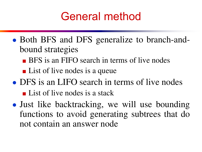#### General method

- Both BFS and DFS generalize to branch-andbound strategies
	- BFS is an FIFO search in terms of live nodes
	- List of live nodes is a queue
- DFS is an LIFO search in terms of live nodes ■ List of live nodes is a stack
- Just like backtracking, we will use bounding functions to avoid generating subtrees that do not contain an answer node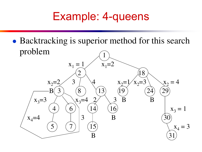#### Example: 4-queens

• Backtracking is superior method for this search problem

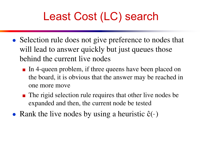## Least Cost (LC) search

- Selection rule does not give preference to nodes that will lead to answer quickly but just queues those behind the current live nodes
	- In 4-queen problem, if three queens have been placed on the board, it is obvious that the answer may be reached in one more move
	- The rigid selection rule requires that other live nodes be expanded and then, the current node be tested
- Rank the live nodes by using a heuristic  $\hat{c}(\cdot)$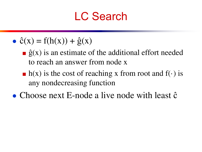#### LC Search

- $\hat{c}(x) = f(h(x)) + \hat{g}(x)$ 
	- $\hat{g}(x)$  is an estimate of the additional effort needed to reach an answer from node x
	- $\blacksquare$  h(x) is the cost of reaching x from root and f( $\cdot$ ) is any nondecreasing function
- Choose next E-node a live node with least  $\hat{c}$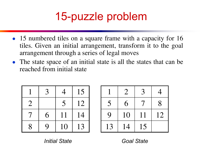## 15-puzzle problem

- 15 numbered tiles on a square frame with a capacity for 16 tiles. Given an initial arrangement, transform it to the goal arrangement through a series of legal moves
- The state space of an initial state is all the states that can be reached from initial state

|                           | 3 |    | 15 |
|---------------------------|---|----|----|
| $\overline{2}$            |   | 5  | 12 |
| 7                         | 6 | 11 | 14 |
| $\boldsymbol{\mathsf{R}}$ | Q | 10 | 13 |

|                  | $\overline{2}$ | 3  |    |
|------------------|----------------|----|----|
| 5                | 6              |    | 8  |
| $\boldsymbol{Q}$ | 10             | 11 | 12 |
| 13               | 14             | 15 |    |

*Initial State Goal State*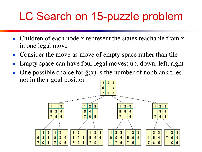## LC Search on 15-puzzle problem

- Children of each node x represent the states reachable from x in one legal move
- Consider the move as move of empty space rather than tile
- Empty space can have four legal moves: up, down, left, right
- One possible choice for  $\hat{g}(x)$  is the number of nonblank tiles not in their goal position

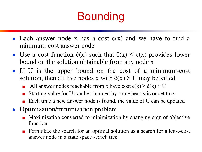## Bounding

- Each answer node x has a cost  $c(x)$  and we have to find a minimum-cost answer node
- Use a cost function  $\hat{c}(x)$  such that  $\hat{c}(x) \leq c(x)$  provides lower bound on the solution obtainable from any node x
- If U is the upper bound on the cost of a minimum-cost solution, then all live nodes x with  $\hat{c}(x) > U$  may be killed
	- All answer nodes reachable from x have cost  $c(x) \ge \hat{c}(x) > U$
	- Starting value for U can be obtained by some heuristic or set to  $\infty$
	- Each time a new answer node is found, the value of U can be updated
- Optimization/minimization problem
	- Maximization converted to minimization by changing sign of objective function
	- Formulate the search for an optimal solution as a search for a least-cost answer node in a state space search tree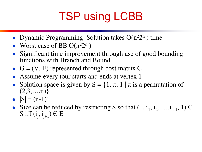# TSP using LCBB

- Dynamic Programming Solution takes  $O(n^22^n)$  time
- Worst case of BB  $O(n^22^n)$
- Significant time improvement through use of good bounding functions with Branch and Bound
- $G = (V, E)$  represented through cost matrix C
- Assume every tour starts and ends at vertex 1
- Solution space is given by  $S = \{1, \pi, 1 \mid \pi \text{ is a permutation of } \}$  $(2,3,...,n)$ }
- $|S| = (n-1)!$
- Size can be reduced by restricting S so that  $(1, i_1, i_2, ..., i_{n-1}, 1) \in$ S iff  $(i_j, i_{j+1}) \in E$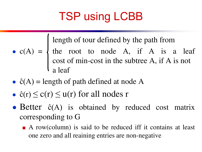## TSP using LCBB

length of tour defined by the path from

- $\bullet$  c(A) =  $\{$  the root to node A, if A is a leaf cost of min-cost in the subtree A, if A is not a leaf
- $\hat{c}(A)$  = length of path defined at node A
- $\hat{c}(r) \leq c(r) \leq u(r)$  for all nodes r
- Better ĉ(A) is obtained by reduced cost matrix corresponding to G
	- A row(column) is said to be reduced iff it contains at least one zero and all reaining entries are non-negative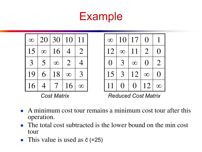#### Example

| $\infty$ | 20               | 30       | 10             | 11             |
|----------|------------------|----------|----------------|----------------|
| 15       | $\infty$         | 16       | 4              | $\overline{2}$ |
| 3        | 5                | $\infty$ | $\overline{2}$ | 4              |
| 19       | $6 \overline{)}$ | 18       | $\infty$       | 3              |
| 16       |                  | 7        | 16             |                |



*Cost Matrix Reduced Cost Matrix* 

- A minimum cost tour remains a minimum cost tour after this operation.
- The total cost subtracted is the lower bound on the min cost tour
- This value is used as  $\hat{c}$  (=25)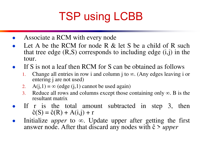# TSP using LCBB

- Associate a RCM with every node
- Let A be the RCM for node R  $&$  let S be a child of R such that tree edge  $(R, S)$  corresponds to including edge  $(i,j)$  in the tour.
- If S is not a leaf then RCM for S can be obtained as follows
	- 1. Change all entries in row i and column j to  $\infty$ . (Any edges leaving i or entering j are not used)
	- 2.  $A(j,1) = \infty$  (edge  $(j,1)$  cannot be used again)
	- 3. Reduce all rows and columns except those containing only  $\infty$ . B is the resultant matrix
- If r is the total amount subtracted in step 3, then  $\hat{c}(S) = \hat{c}(R) + A(i,j) + r$
- Initialize *upper* to  $\infty$ . Update upper after getting the first answer node. After that discard any nodes with ĉ > *upper*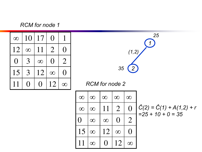*RCM for node 1* 

| $\infty$        | 10       | 17       | $\left(\;\right)$ |                   |
|-----------------|----------|----------|-------------------|-------------------|
| 12              | $\infty$ | 11       | $\overline{2}$    | $\left(\ \right)$ |
| $\left(\right)$ | 3        | $\infty$ | ( )               | $\overline{2}$    |
| 15              | 3        | 12       | $\infty$          | $\left(\right)$   |
| 11              | $\Box$   |          | 12                |                   |

*1 2 25*  $(1,2)$ *35*

| $\infty$         | $\infty$ | $\infty$ | $\infty$       | $\infty$       |
|------------------|----------|----------|----------------|----------------|
| $\infty$         | $\infty$ | 11       | $\overline{2}$ | ( )            |
| $\left( \right)$ | $\infty$ | $\infty$ | ( )            | $\overline{2}$ |
| 15               | $\infty$ | 12       | $\infty$       | ( )            |
| 11               | $\infty$ | $\Box$   | 12             |                |

$$
\hat{C}(2) = \hat{C}(1) + A(1,2) + r
$$
  
= 25 + 10 + 0 = 35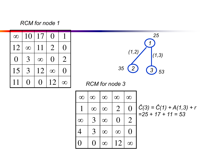*RCM for node 1* 

| $\infty$        | 10            | 17       | ( )            |                 |
|-----------------|---------------|----------|----------------|-----------------|
| 12              | $\infty$      | 11       | $\overline{2}$ | $\left(\right)$ |
| $\left(\right)$ | 3             | $\infty$ | ( )            | $\overline{2}$  |
| 15              | $\mathcal{R}$ | 12       | $\infty$       | $\Box$          |
| 11              |               |          | 12             |                 |



| $\infty$    | $\infty$ | $\infty$ | $\infty$       | $\infty$                                                  |
|-------------|----------|----------|----------------|-----------------------------------------------------------|
|             | $\infty$ | $\infty$ | $\overline{2}$ |                                                           |
| $\infty$    | 3        | $\infty$ | ( )            | $\mathcal{D}% _{M_{1},M_{2}}^{\alpha,\beta}(\varepsilon)$ |
| $\varDelta$ | 3        | $\infty$ | $\infty$       |                                                           |
|             |          | $\infty$ | 12             |                                                           |

$$
\hat{C}(3) = \hat{C}(1) + A(1,3) + r
$$
  
=25 + 17 + 11 = 53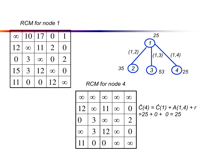*RCM for node 1* 

| $\infty$        | 10            | 17       | ( )            |                |
|-----------------|---------------|----------|----------------|----------------|
| 12              | $\infty$      | 11       | $\overline{2}$ | $\Box$         |
| $\left(\right)$ | 3             | $\infty$ | ( )            | $\overline{2}$ |
| 15              | $\mathcal{R}$ | 12       | $\infty$       | $\Box$         |
| 11              |               |          | 12             |                |



| $\infty$       | $\infty$ | $\infty$ | $\infty$ | $\infty$       |
|----------------|----------|----------|----------|----------------|
| 12             | $\infty$ | 11       | $\infty$ | 0              |
| U              | 3        | $\infty$ | $\infty$ | $\overline{2}$ |
| $\infty$       | 3        | 12       | $\infty$ | $\Box$         |
| 1 <sub>1</sub> |          | ( )      |          |                |

$$
\hat{C}(4) = \hat{C}(1) + A(1,4) + r
$$
  
= 25 + 0 + 0 = 25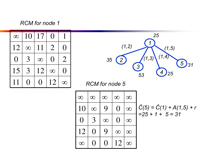#### *RCM for node 1*

| $\infty$ | 10            | 17       | ( )            |                |
|----------|---------------|----------|----------------|----------------|
| 12       | $\infty$      | 11       | $\overline{2}$ | $\Box$         |
| ( )      | 3             | $\infty$ | ( )            | $\overline{2}$ |
| 15       | $\mathcal{R}$ | 12       | $\infty$       | $\Box$         |
| 11       |               |          | 12             |                |



| $\infty$        | $\infty$ | $\infty$ | $\infty$        | $\infty$ |
|-----------------|----------|----------|-----------------|----------|
| 10              | $\infty$ | 9        | O               | $\infty$ |
| $\left(\right)$ | 3        | $\infty$ | $\left(\right)$ | $\infty$ |
| 12              | ( )      | 9        | $\infty$        | $\infty$ |
|                 |          |          | 12              |          |

$$
\hat{C}(5) = \hat{C}(1) + A(1,5) + r
$$
  
= 25 + 1 + 5 = 31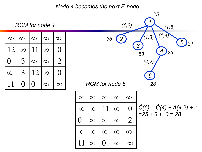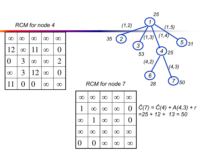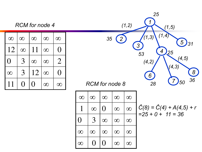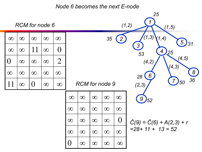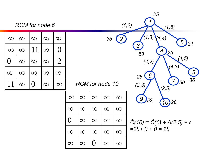